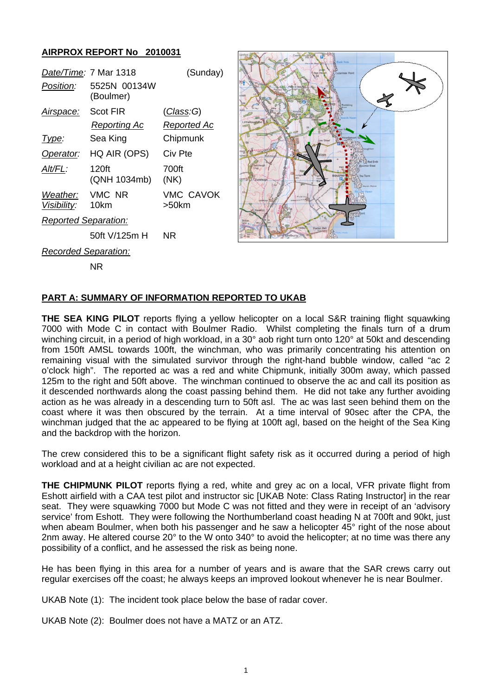## **AIRPROX REPORT No 2010031**

|                             | Date/Time: 7 Mar 1318     | (Sunday)           |
|-----------------------------|---------------------------|--------------------|
| <i>Position:</i>            | 5525N 00134W<br>(Boulmer) |                    |
| Airspace:                   | Scot FIR                  | (Class:G)          |
|                             | Reporting Ac              | Reported Ac        |
| Type:                       | Sea King                  | Chipmunk           |
| Operator:                   | HQ AIR (OPS)              | Civ Pte            |
| AIt/FL:                     | 120ft<br>(QNH 1034mb)     | 700ft<br>(NK)      |
| Weather:<br>Visibility:     | VMC NR<br>10km            | VMC CAVOK<br>>50km |
| <b>Reported Separation:</b> |                           |                    |
|                             | 50ft V/125m H             | NR                 |



*Recorded Separation:*

NR

## **PART A: SUMMARY OF INFORMATION REPORTED TO UKAB**

**THE SEA KING PILOT** reports flying a yellow helicopter on a local S&R training flight squawking 7000 with Mode C in contact with Boulmer Radio. Whilst completing the finals turn of a drum winching circuit, in a period of high workload, in a 30° aob right turn onto 120° at 50kt and descending from 150ft AMSL towards 100ft, the winchman, who was primarily concentrating his attention on remaining visual with the simulated survivor through the right-hand bubble window, called "ac 2 o'clock high". The reported ac was a red and white Chipmunk, initially 300m away, which passed 125m to the right and 50ft above. The winchman continued to observe the ac and call its position as it descended northwards along the coast passing behind them. He did not take any further avoiding action as he was already in a descending turn to 50ft asl. The ac was last seen behind them on the coast where it was then obscured by the terrain. At a time interval of 90sec after the CPA, the winchman judged that the ac appeared to be flying at 100ft agl, based on the height of the Sea King and the backdrop with the horizon.

The crew considered this to be a significant flight safety risk as it occurred during a period of high workload and at a height civilian ac are not expected.

**THE CHIPMUNK PILOT** reports flying a red, white and grey ac on a local, VFR private flight from Eshott airfield with a CAA test pilot and instructor sic [UKAB Note: Class Rating Instructor] in the rear seat. They were squawking 7000 but Mode C was not fitted and they were in receipt of an 'advisory service' from Eshott. They were following the Northumberland coast heading N at 700ft and 90kt, just when abeam Boulmer, when both his passenger and he saw a helicopter 45° right of the nose about 2nm away. He altered course 20° to the W onto 340° to avoid the helicopter; at no time was there any possibility of a conflict, and he assessed the risk as being none.

He has been flying in this area for a number of years and is aware that the SAR crews carry out regular exercises off the coast; he always keeps an improved lookout whenever he is near Boulmer.

UKAB Note (1): The incident took place below the base of radar cover.

UKAB Note (2): Boulmer does not have a MATZ or an ATZ.